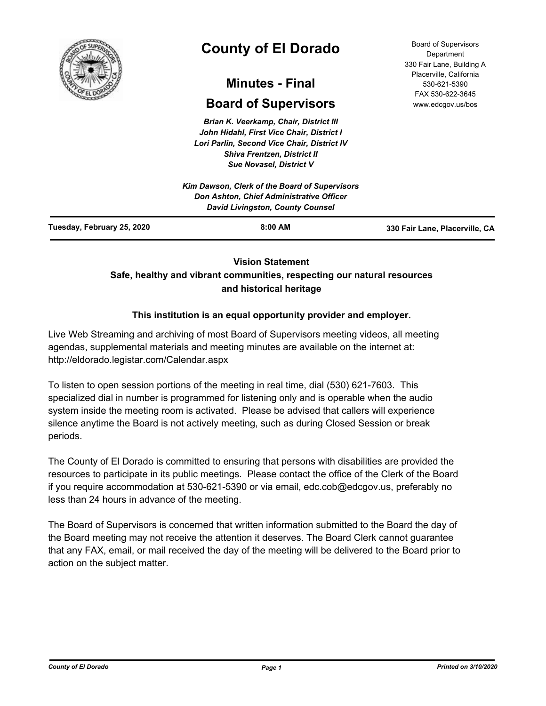

# **County of El Dorado**

## **Minutes - Final**

## **Board of Supervisors**

*Brian K. Veerkamp, Chair, District III John Hidahl, First Vice Chair, District I Lori Parlin, Second Vice Chair, District IV Shiva Frentzen, District II Sue Novasel, District V*

|                            | Kim Dawson, Clerk of the Board of Supervisors<br>Don Ashton, Chief Administrative Officer<br><b>David Livingston, County Counsel</b> |                                |
|----------------------------|--------------------------------------------------------------------------------------------------------------------------------------|--------------------------------|
| Tuesday, February 25, 2020 | $8:00$ AM                                                                                                                            | 330 Fair Lane, Placerville, CA |

## **Vision Statement**

## **Safe, healthy and vibrant communities, respecting our natural resources and historical heritage**

## **This institution is an equal opportunity provider and employer.**

Live Web Streaming and archiving of most Board of Supervisors meeting videos, all meeting agendas, supplemental materials and meeting minutes are available on the internet at: http://eldorado.legistar.com/Calendar.aspx

To listen to open session portions of the meeting in real time, dial (530) 621-7603. This specialized dial in number is programmed for listening only and is operable when the audio system inside the meeting room is activated. Please be advised that callers will experience silence anytime the Board is not actively meeting, such as during Closed Session or break periods.

The County of El Dorado is committed to ensuring that persons with disabilities are provided the resources to participate in its public meetings. Please contact the office of the Clerk of the Board if you require accommodation at 530-621-5390 or via email, edc.cob@edcgov.us, preferably no less than 24 hours in advance of the meeting.

The Board of Supervisors is concerned that written information submitted to the Board the day of the Board meeting may not receive the attention it deserves. The Board Clerk cannot guarantee that any FAX, email, or mail received the day of the meeting will be delivered to the Board prior to action on the subject matter.

Board of Supervisors Department 330 Fair Lane, Building A Placerville, California 530-621-5390 FAX 530-622-3645 www.edcgov.us/bos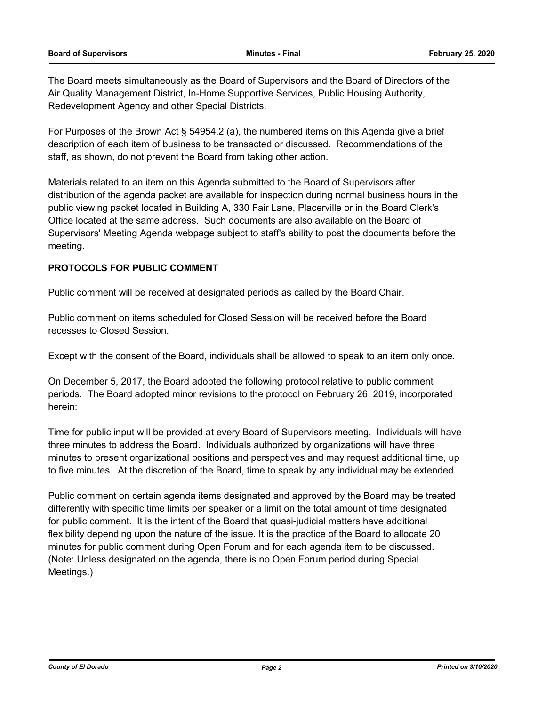The Board meets simultaneously as the Board of Supervisors and the Board of Directors of the Air Quality Management District, In-Home Supportive Services, Public Housing Authority, Redevelopment Agency and other Special Districts.

For Purposes of the Brown Act § 54954.2 (a), the numbered items on this Agenda give a brief description of each item of business to be transacted or discussed. Recommendations of the staff, as shown, do not prevent the Board from taking other action.

Materials related to an item on this Agenda submitted to the Board of Supervisors after distribution of the agenda packet are available for inspection during normal business hours in the public viewing packet located in Building A, 330 Fair Lane, Placerville or in the Board Clerk's Office located at the same address. Such documents are also available on the Board of Supervisors' Meeting Agenda webpage subject to staff's ability to post the documents before the meeting.

### **PROTOCOLS FOR PUBLIC COMMENT**

Public comment will be received at designated periods as called by the Board Chair.

Public comment on items scheduled for Closed Session will be received before the Board recesses to Closed Session.

Except with the consent of the Board, individuals shall be allowed to speak to an item only once.

On December 5, 2017, the Board adopted the following protocol relative to public comment periods. The Board adopted minor revisions to the protocol on February 26, 2019, incorporated herein:

Time for public input will be provided at every Board of Supervisors meeting. Individuals will have three minutes to address the Board. Individuals authorized by organizations will have three minutes to present organizational positions and perspectives and may request additional time, up to five minutes. At the discretion of the Board, time to speak by any individual may be extended.

Public comment on certain agenda items designated and approved by the Board may be treated differently with specific time limits per speaker or a limit on the total amount of time designated for public comment. It is the intent of the Board that quasi-judicial matters have additional flexibility depending upon the nature of the issue. It is the practice of the Board to allocate 20 minutes for public comment during Open Forum and for each agenda item to be discussed. (Note: Unless designated on the agenda, there is no Open Forum period during Special Meetings.)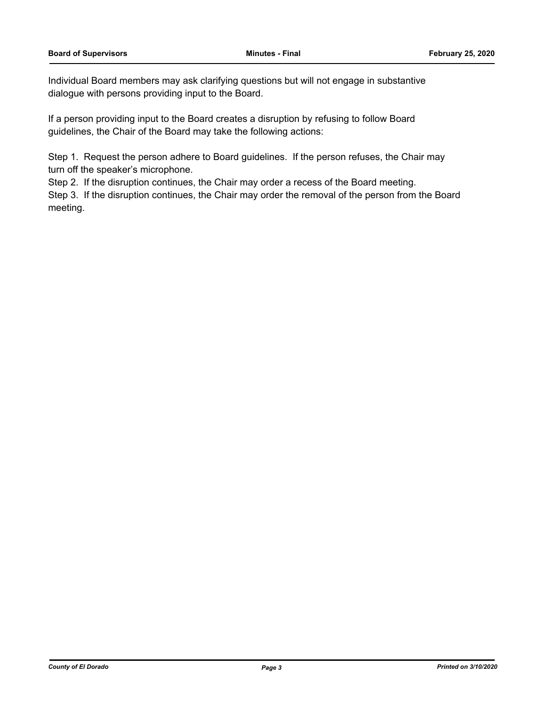Individual Board members may ask clarifying questions but will not engage in substantive dialogue with persons providing input to the Board.

If a person providing input to the Board creates a disruption by refusing to follow Board guidelines, the Chair of the Board may take the following actions:

Step 1. Request the person adhere to Board guidelines. If the person refuses, the Chair may turn off the speaker's microphone.

Step 2. If the disruption continues, the Chair may order a recess of the Board meeting.

Step 3. If the disruption continues, the Chair may order the removal of the person from the Board meeting.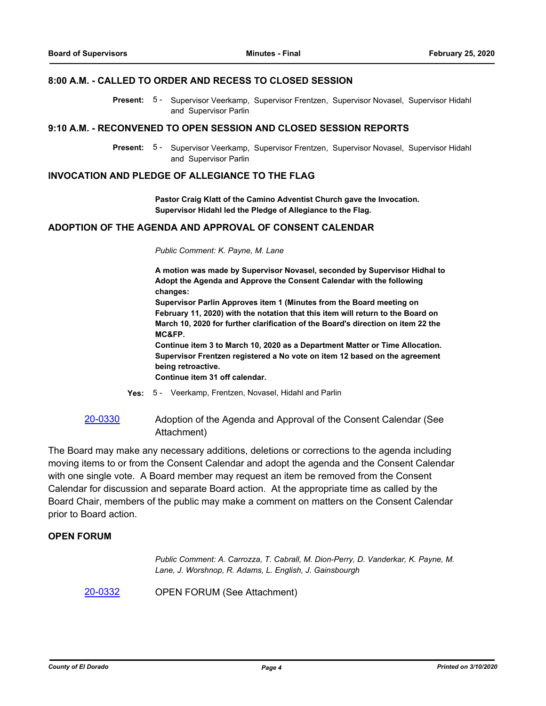#### **8:00 A.M. - CALLED TO ORDER AND RECESS TO CLOSED SESSION**

Present: 5 - Supervisor Veerkamp, Supervisor Frentzen, Supervisor Novasel, Supervisor Hidahl and Supervisor Parlin

#### **9:10 A.M. - RECONVENED TO OPEN SESSION AND CLOSED SESSION REPORTS**

Present: 5 - Supervisor Veerkamp, Supervisor Frentzen, Supervisor Novasel, Supervisor Hidahl and Supervisor Parlin

#### **INVOCATION AND PLEDGE OF ALLEGIANCE TO THE FLAG**

**Pastor Craig Klatt of the Camino Adventist Church gave the Invocation. Supervisor Hidahl led the Pledge of Allegiance to the Flag.**

## **ADOPTION OF THE AGENDA AND APPROVAL OF CONSENT CALENDAR**

*Public Comment: K. Payne, M. Lane*

**A motion was made by Supervisor Novasel, seconded by Supervisor Hidhal to Adopt the Agenda and Approve the Consent Calendar with the following changes:**

**Supervisor Parlin Approves item 1 (Minutes from the Board meeting on February 11, 2020) with the notation that this item will return to the Board on March 10, 2020 for further clarification of the Board's direction on item 22 the MC&FP.**

**Continue item 3 to March 10, 2020 as a Department Matter or Time Allocation. Supervisor Frentzen registered a No vote on item 12 based on the agreement being retroactive.**

**Continue item 31 off calendar.**

- **Yes:** 5 Veerkamp, Frentzen, Novasel, Hidahl and Parlin
- [20-0330](http://eldorado.legistar.com/gateway.aspx?m=l&id=/matter.aspx?key=27535) Adoption of the Agenda and Approval of the Consent Calendar (See Attachment)

The Board may make any necessary additions, deletions or corrections to the agenda including moving items to or from the Consent Calendar and adopt the agenda and the Consent Calendar with one single vote. A Board member may request an item be removed from the Consent Calendar for discussion and separate Board action. At the appropriate time as called by the Board Chair, members of the public may make a comment on matters on the Consent Calendar prior to Board action.

#### **OPEN FORUM**

*Public Comment: A. Carrozza, T. Cabrall, M. Dion-Perry, D. Vanderkar, K. Payne, M. Lane, J. Worshnop, R. Adams, L. English, J. Gainsbourgh*

[20-0332](http://eldorado.legistar.com/gateway.aspx?m=l&id=/matter.aspx?key=27537) OPEN FORUM (See Attachment)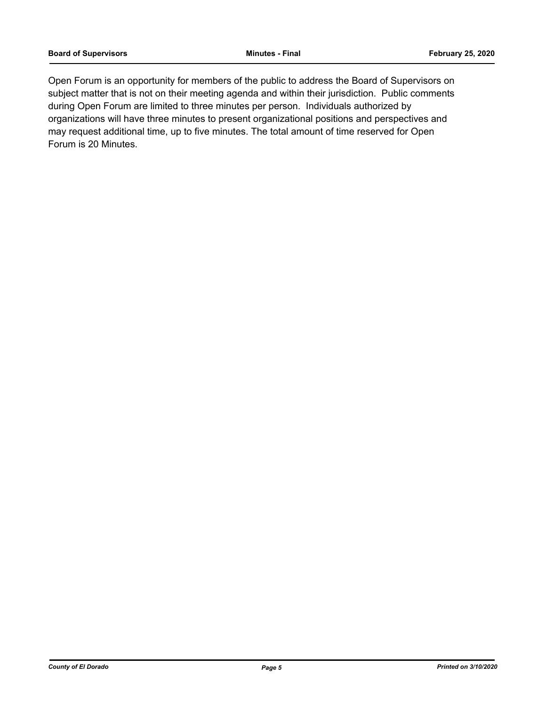Open Forum is an opportunity for members of the public to address the Board of Supervisors on subject matter that is not on their meeting agenda and within their jurisdiction. Public comments during Open Forum are limited to three minutes per person. Individuals authorized by organizations will have three minutes to present organizational positions and perspectives and may request additional time, up to five minutes. The total amount of time reserved for Open Forum is 20 Minutes.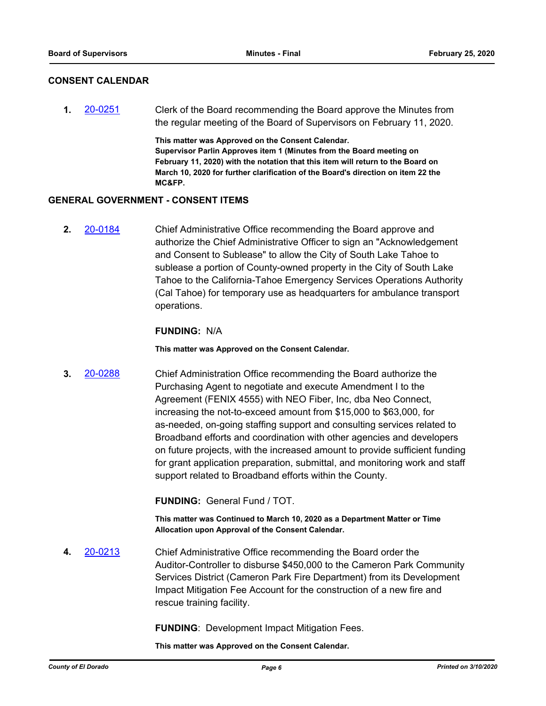#### **CONSENT CALENDAR**

**1.** [20-0251](http://eldorado.legistar.com/gateway.aspx?m=l&id=/matter.aspx?key=27456) Clerk of the Board recommending the Board approve the Minutes from the regular meeting of the Board of Supervisors on February 11, 2020.

> **This matter was Approved on the Consent Calendar. Supervisor Parlin Approves item 1 (Minutes from the Board meeting on February 11, 2020) with the notation that this item will return to the Board on March 10, 2020 for further clarification of the Board's direction on item 22 the MC&FP.**

#### **GENERAL GOVERNMENT - CONSENT ITEMS**

**2.** [20-0184](http://eldorado.legistar.com/gateway.aspx?m=l&id=/matter.aspx?key=27389) Chief Administrative Office recommending the Board approve and authorize the Chief Administrative Officer to sign an "Acknowledgement and Consent to Sublease" to allow the City of South Lake Tahoe to sublease a portion of County-owned property in the City of South Lake Tahoe to the California-Tahoe Emergency Services Operations Authority (Cal Tahoe) for temporary use as headquarters for ambulance transport operations.

#### **FUNDING:** N/A

**This matter was Approved on the Consent Calendar.**

**3.** [20-0288](http://eldorado.legistar.com/gateway.aspx?m=l&id=/matter.aspx?key=27493) Chief Administration Office recommending the Board authorize the Purchasing Agent to negotiate and execute Amendment I to the Agreement (FENIX 4555) with NEO Fiber, Inc, dba Neo Connect, increasing the not-to-exceed amount from \$15,000 to \$63,000, for as-needed, on-going staffing support and consulting services related to Broadband efforts and coordination with other agencies and developers on future projects, with the increased amount to provide sufficient funding for grant application preparation, submittal, and monitoring work and staff support related to Broadband efforts within the County.

**FUNDING:** General Fund / TOT.

**This matter was Continued to March 10, 2020 as a Department Matter or Time Allocation upon Approval of the Consent Calendar.**

**4.** [20-0213](http://eldorado.legistar.com/gateway.aspx?m=l&id=/matter.aspx?key=27418) Chief Administrative Office recommending the Board order the Auditor-Controller to disburse \$450,000 to the Cameron Park Community Services District (Cameron Park Fire Department) from its Development Impact Mitigation Fee Account for the construction of a new fire and rescue training facility.

**FUNDING**: Development Impact Mitigation Fees.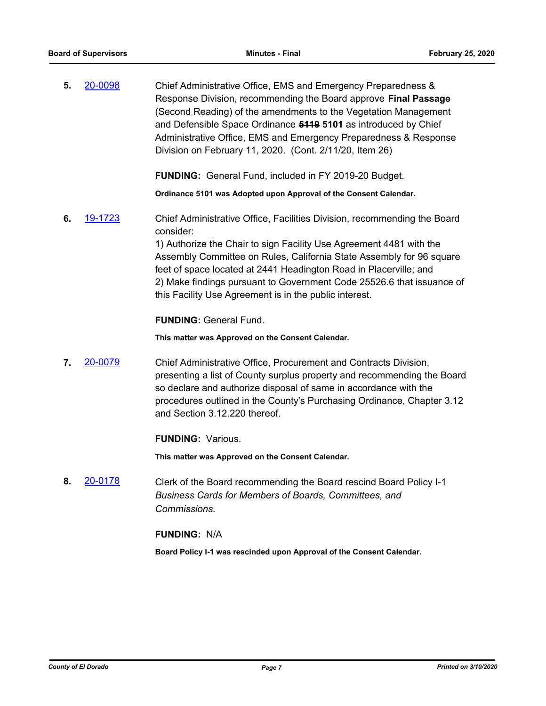**5.** [20-0098](http://eldorado.legistar.com/gateway.aspx?m=l&id=/matter.aspx?key=27303) Chief Administrative Office, EMS and Emergency Preparedness & Response Division, recommending the Board approve **Final Passage**  (Second Reading) of the amendments to the Vegetation Management and Defensible Space Ordinance **5119 5101** as introduced by Chief Administrative Office, EMS and Emergency Preparedness & Response Division on February 11, 2020. (Cont. 2/11/20, Item 26)

**FUNDING:** General Fund, included in FY 2019-20 Budget.

**Ordinance 5101 was Adopted upon Approval of the Consent Calendar.**

**6.** [19-1723](http://eldorado.legistar.com/gateway.aspx?m=l&id=/matter.aspx?key=27047) Chief Administrative Office, Facilities Division, recommending the Board consider:

> 1) Authorize the Chair to sign Facility Use Agreement 4481 with the Assembly Committee on Rules, California State Assembly for 96 square feet of space located at 2441 Headington Road in Placerville; and 2) Make findings pursuant to Government Code 25526.6 that issuance of this Facility Use Agreement is in the public interest.

**FUNDING:** General Fund.

**This matter was Approved on the Consent Calendar.**

**7.** [20-0079](http://eldorado.legistar.com/gateway.aspx?m=l&id=/matter.aspx?key=27284) Chief Administrative Office, Procurement and Contracts Division, presenting a list of County surplus property and recommending the Board so declare and authorize disposal of same in accordance with the procedures outlined in the County's Purchasing Ordinance, Chapter 3.12 and Section 3.12.220 thereof.

**FUNDING:** Various.

**This matter was Approved on the Consent Calendar.**

**8.** [20-0178](http://eldorado.legistar.com/gateway.aspx?m=l&id=/matter.aspx?key=27383) Clerk of the Board recommending the Board rescind Board Policy I-1 *Business Cards for Members of Boards, Committees, and Commissions.*

**FUNDING:** N/A

**Board Policy I-1 was rescinded upon Approval of the Consent Calendar.**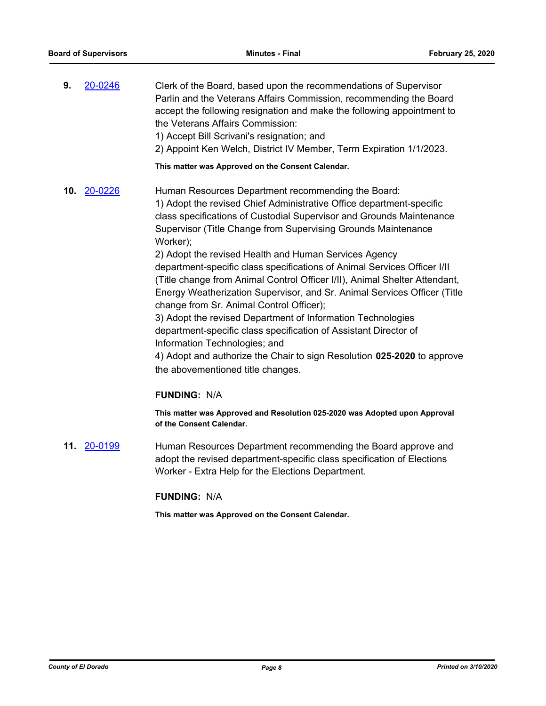- **9.** [20-0246](http://eldorado.legistar.com/gateway.aspx?m=l&id=/matter.aspx?key=27451) Clerk of the Board, based upon the recommendations of Supervisor Parlin and the Veterans Affairs Commission, recommending the Board accept the following resignation and make the following appointment to the Veterans Affairs Commission: 1) Accept Bill Scrivani's resignation; and 2) Appoint Ken Welch, District IV Member, Term Expiration 1/1/2023. **This matter was Approved on the Consent Calendar.**
- **10.** [20-0226](http://eldorado.legistar.com/gateway.aspx?m=l&id=/matter.aspx?key=27431) Human Resources Department recommending the Board: 1) Adopt the revised Chief Administrative Office department-specific class specifications of Custodial Supervisor and Grounds Maintenance Supervisor (Title Change from Supervising Grounds Maintenance Worker); 2) Adopt the revised Health and Human Services Agency department-specific class specifications of Animal Services Officer I/II (Title change from Animal Control Officer I/II), Animal Shelter Attendant, Energy Weatherization Supervisor, and Sr. Animal Services Officer (Title change from Sr. Animal Control Officer); 3) Adopt the revised Department of Information Technologies department-specific class specification of Assistant Director of Information Technologies; and 4) Adopt and authorize the Chair to sign Resolution **025-2020** to approve the abovementioned title changes.

#### **FUNDING:** N/A

**This matter was Approved and Resolution 025-2020 was Adopted upon Approval of the Consent Calendar.**

**11. [20-0199](http://eldorado.legistar.com/gateway.aspx?m=l&id=/matter.aspx?key=27404)** Human Resources Department recommending the Board approve and adopt the revised department-specific class specification of Elections Worker - Extra Help for the Elections Department.

#### **FUNDING:** N/A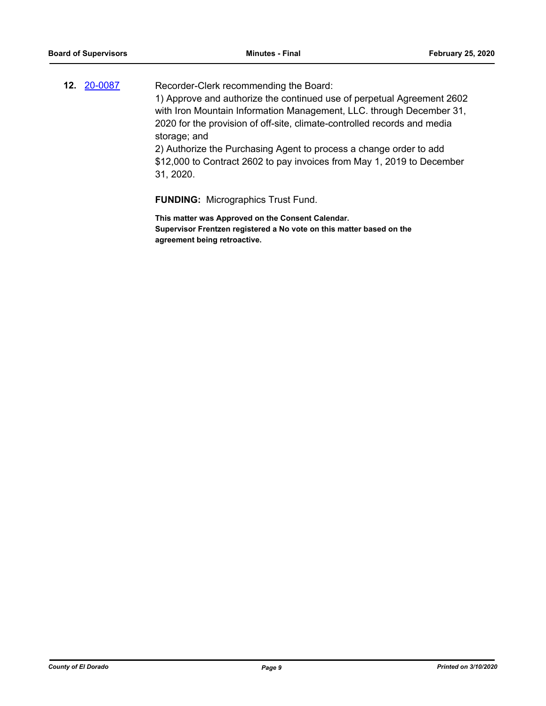| 12. 20-0087 | Recorder-Clerk recommending the Board:                                   |
|-------------|--------------------------------------------------------------------------|
|             | 1) Approve and authorize the continued use of perpetual Agreement 2602   |
|             | with Iron Mountain Information Management, LLC. through December 31,     |
|             | 2020 for the provision of off-site, climate-controlled records and media |
|             | storage; and                                                             |
|             | 2) Authorize the Purchasing Agent to process a change order to add       |
|             | \$12,000 to Contract 2602 to pay invoices from May 1, 2019 to December   |
|             | 31, 2020.                                                                |
|             |                                                                          |

**FUNDING:** Micrographics Trust Fund.

**This matter was Approved on the Consent Calendar. Supervisor Frentzen registered a No vote on this matter based on the agreement being retroactive.**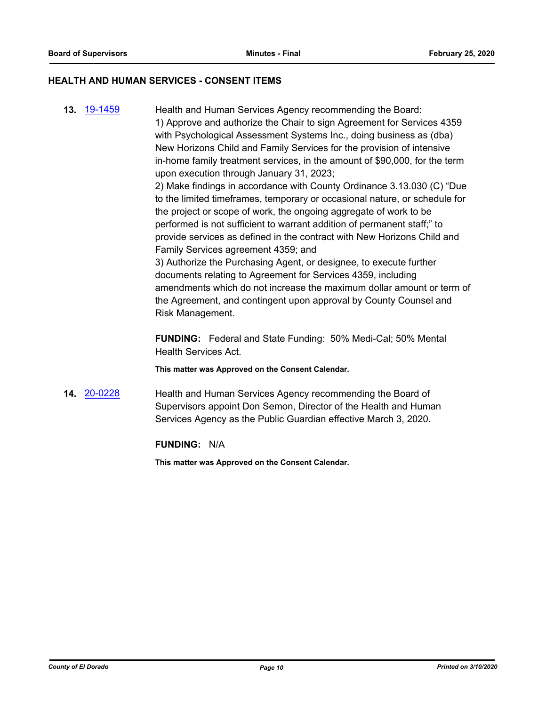#### **HEALTH AND HUMAN SERVICES - CONSENT ITEMS**

**13.** [19-1459](http://eldorado.legistar.com/gateway.aspx?m=l&id=/matter.aspx?key=26780) Health and Human Services Agency recommending the Board: 1) Approve and authorize the Chair to sign Agreement for Services 4359 with Psychological Assessment Systems Inc., doing business as (dba) New Horizons Child and Family Services for the provision of intensive in-home family treatment services, in the amount of \$90,000, for the term upon execution through January 31, 2023;

2) Make findings in accordance with County Ordinance 3.13.030 (C) "Due to the limited timeframes, temporary or occasional nature, or schedule for the project or scope of work, the ongoing aggregate of work to be performed is not sufficient to warrant addition of permanent staff;" to provide services as defined in the contract with New Horizons Child and Family Services agreement 4359; and

3) Authorize the Purchasing Agent, or designee, to execute further documents relating to Agreement for Services 4359, including amendments which do not increase the maximum dollar amount or term of the Agreement, and contingent upon approval by County Counsel and Risk Management.

**FUNDING:** Federal and State Funding: 50% Medi-Cal; 50% Mental Health Services Act.

**This matter was Approved on the Consent Calendar.**

**14.** [20-0228](http://eldorado.legistar.com/gateway.aspx?m=l&id=/matter.aspx?key=27433) Health and Human Services Agency recommending the Board of Supervisors appoint Don Semon, Director of the Health and Human Services Agency as the Public Guardian effective March 3, 2020.

**FUNDING:** N/A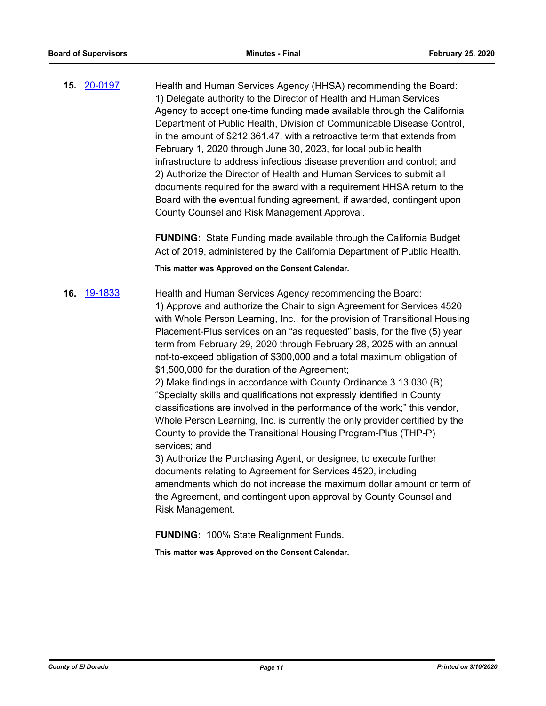**15.** [20-0197](http://eldorado.legistar.com/gateway.aspx?m=l&id=/matter.aspx?key=27402) Health and Human Services Agency (HHSA) recommending the Board: 1) Delegate authority to the Director of Health and Human Services Agency to accept one-time funding made available through the California Department of Public Health, Division of Communicable Disease Control, in the amount of \$212,361.47, with a retroactive term that extends from February 1, 2020 through June 30, 2023, for local public health infrastructure to address infectious disease prevention and control; and 2) Authorize the Director of Health and Human Services to submit all documents required for the award with a requirement HHSA return to the Board with the eventual funding agreement, if awarded, contingent upon County Counsel and Risk Management Approval.

> **FUNDING:** State Funding made available through the California Budget Act of 2019, administered by the California Department of Public Health.

**This matter was Approved on the Consent Calendar.**

**16.** [19-1833](http://eldorado.legistar.com/gateway.aspx?m=l&id=/matter.aspx?key=27157) Health and Human Services Agency recommending the Board: 1) Approve and authorize the Chair to sign Agreement for Services 4520 with Whole Person Learning, Inc., for the provision of Transitional Housing Placement-Plus services on an "as requested" basis, for the five (5) year term from February 29, 2020 through February 28, 2025 with an annual not-to-exceed obligation of \$300,000 and a total maximum obligation of \$1,500,000 for the duration of the Agreement;

2) Make findings in accordance with County Ordinance 3.13.030 (B) "Specialty skills and qualifications not expressly identified in County classifications are involved in the performance of the work;" this vendor, Whole Person Learning, Inc. is currently the only provider certified by the County to provide the Transitional Housing Program-Plus (THP-P) services; and

3) Authorize the Purchasing Agent, or designee, to execute further documents relating to Agreement for Services 4520, including amendments which do not increase the maximum dollar amount or term of the Agreement, and contingent upon approval by County Counsel and Risk Management.

**FUNDING:** 100% State Realignment Funds.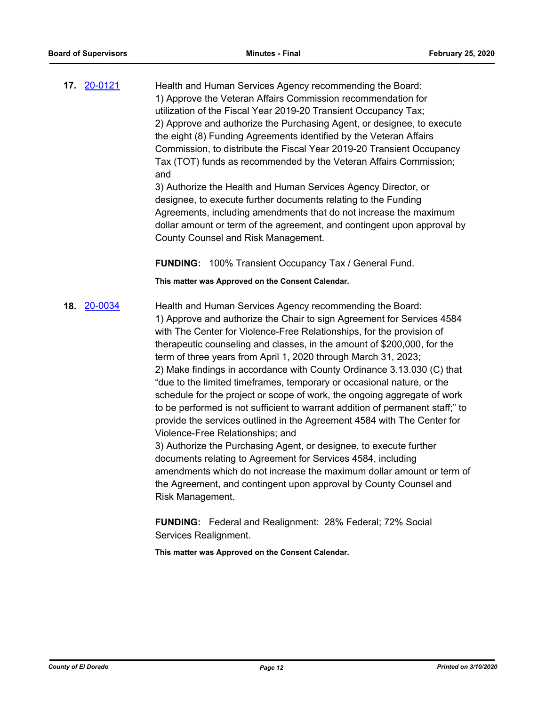**17.** [20-0121](http://eldorado.legistar.com/gateway.aspx?m=l&id=/matter.aspx?key=27326) Health and Human Services Agency recommending the Board: 1) Approve the Veteran Affairs Commission recommendation for utilization of the Fiscal Year 2019-20 Transient Occupancy Tax; 2) Approve and authorize the Purchasing Agent, or designee, to execute the eight (8) Funding Agreements identified by the Veteran Affairs Commission, to distribute the Fiscal Year 2019-20 Transient Occupancy Tax (TOT) funds as recommended by the Veteran Affairs Commission; and

3) Authorize the Health and Human Services Agency Director, or designee, to execute further documents relating to the Funding Agreements, including amendments that do not increase the maximum dollar amount or term of the agreement, and contingent upon approval by County Counsel and Risk Management.

**FUNDING:** 100% Transient Occupancy Tax / General Fund.

**This matter was Approved on the Consent Calendar.**

**18.** [20-0034](http://eldorado.legistar.com/gateway.aspx?m=l&id=/matter.aspx?key=27238) Health and Human Services Agency recommending the Board: 1) Approve and authorize the Chair to sign Agreement for Services 4584 with The Center for Violence-Free Relationships, for the provision of therapeutic counseling and classes, in the amount of \$200,000, for the term of three years from April 1, 2020 through March 31, 2023; 2) Make findings in accordance with County Ordinance 3.13.030 (C) that "due to the limited timeframes, temporary or occasional nature, or the schedule for the project or scope of work, the ongoing aggregate of work to be performed is not sufficient to warrant addition of permanent staff;" to provide the services outlined in the Agreement 4584 with The Center for Violence-Free Relationships; and 3) Authorize the Purchasing Agent, or designee, to execute further

documents relating to Agreement for Services 4584, including amendments which do not increase the maximum dollar amount or term of the Agreement, and contingent upon approval by County Counsel and Risk Management.

**FUNDING:** Federal and Realignment: 28% Federal; 72% Social Services Realignment.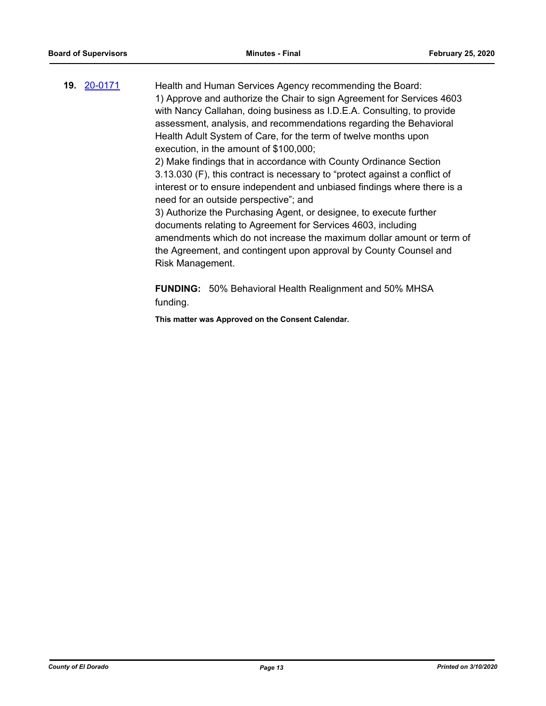**19.** [20-0171](http://eldorado.legistar.com/gateway.aspx?m=l&id=/matter.aspx?key=27376) Health and Human Services Agency recommending the Board: 1) Approve and authorize the Chair to sign Agreement for Services 4603 with Nancy Callahan, doing business as I.D.E.A. Consulting, to provide assessment, analysis, and recommendations regarding the Behavioral Health Adult System of Care, for the term of twelve months upon execution, in the amount of \$100,000; 2) Make findings that in accordance with County Ordinance Section 3.13.030 (F), this contract is necessary to "protect against a conflict of interest or to ensure independent and unbiased findings where there is a

> need for an outside perspective"; and 3) Authorize the Purchasing Agent, or designee, to execute further documents relating to Agreement for Services 4603, including amendments which do not increase the maximum dollar amount or term of the Agreement, and contingent upon approval by County Counsel and Risk Management.

**FUNDING:** 50% Behavioral Health Realignment and 50% MHSA funding.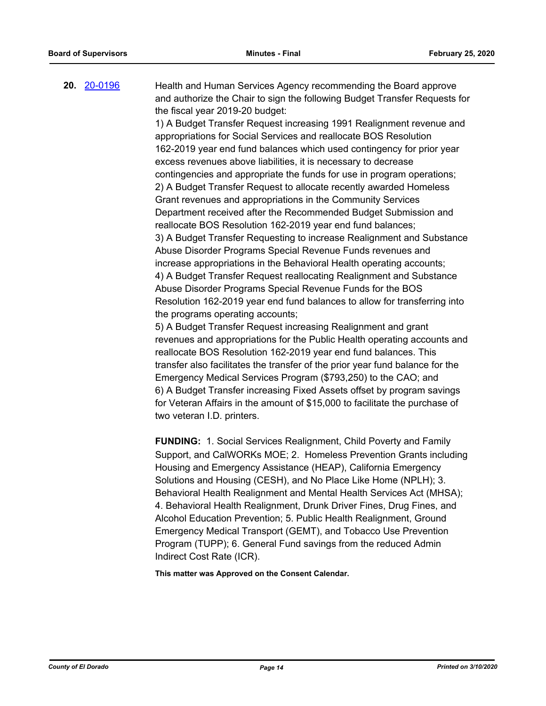**20.** [20-0196](http://eldorado.legistar.com/gateway.aspx?m=l&id=/matter.aspx?key=27401) Health and Human Services Agency recommending the Board approve and authorize the Chair to sign the following Budget Transfer Requests for the fiscal year 2019-20 budget:

> 1) A Budget Transfer Request increasing 1991 Realignment revenue and appropriations for Social Services and reallocate BOS Resolution 162-2019 year end fund balances which used contingency for prior year excess revenues above liabilities, it is necessary to decrease contingencies and appropriate the funds for use in program operations; 2) A Budget Transfer Request to allocate recently awarded Homeless Grant revenues and appropriations in the Community Services Department received after the Recommended Budget Submission and reallocate BOS Resolution 162-2019 year end fund balances; 3) A Budget Transfer Requesting to increase Realignment and Substance Abuse Disorder Programs Special Revenue Funds revenues and increase appropriations in the Behavioral Health operating accounts; 4) A Budget Transfer Request reallocating Realignment and Substance Abuse Disorder Programs Special Revenue Funds for the BOS Resolution 162-2019 year end fund balances to allow for transferring into the programs operating accounts;

> 5) A Budget Transfer Request increasing Realignment and grant revenues and appropriations for the Public Health operating accounts and reallocate BOS Resolution 162-2019 year end fund balances. This transfer also facilitates the transfer of the prior year fund balance for the Emergency Medical Services Program (\$793,250) to the CAO; and 6) A Budget Transfer increasing Fixed Assets offset by program savings for Veteran Affairs in the amount of \$15,000 to facilitate the purchase of two veteran I.D. printers.

> **FUNDING:** 1. Social Services Realignment, Child Poverty and Family Support, and CalWORKs MOE; 2. Homeless Prevention Grants including Housing and Emergency Assistance (HEAP), California Emergency Solutions and Housing (CESH), and No Place Like Home (NPLH); 3. Behavioral Health Realignment and Mental Health Services Act (MHSA); 4. Behavioral Health Realignment, Drunk Driver Fines, Drug Fines, and Alcohol Education Prevention; 5. Public Health Realignment, Ground Emergency Medical Transport (GEMT), and Tobacco Use Prevention Program (TUPP); 6. General Fund savings from the reduced Admin Indirect Cost Rate (ICR).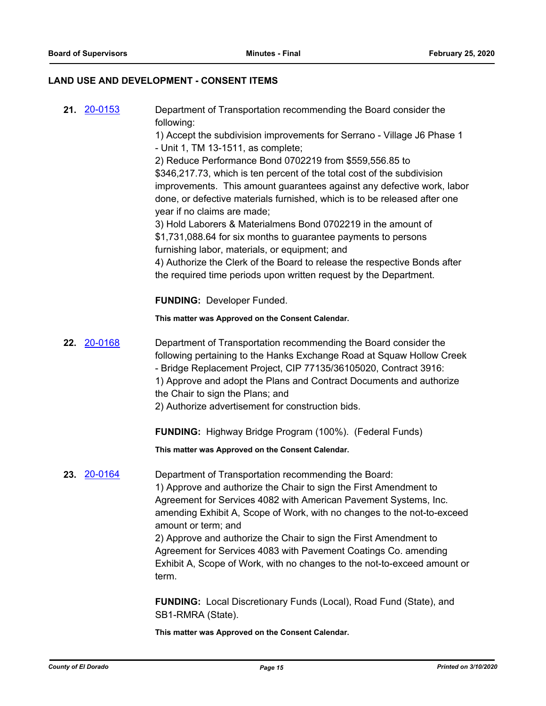## **LAND USE AND DEVELOPMENT - CONSENT ITEMS**

|     | <b>21.</b> 20-0153 | Department of Transportation recommending the Board consider the<br>following:           |
|-----|--------------------|------------------------------------------------------------------------------------------|
|     |                    | 1) Accept the subdivision improvements for Serrano - Village J6 Phase 1                  |
|     |                    | - Unit 1, TM 13-1511, as complete;                                                       |
|     |                    | 2) Reduce Performance Bond 0702219 from \$559,556.85 to                                  |
|     |                    | \$346,217.73, which is ten percent of the total cost of the subdivision                  |
|     |                    | improvements. This amount guarantees against any defective work, labor                   |
|     |                    | done, or defective materials furnished, which is to be released after one                |
|     |                    | year if no claims are made;                                                              |
|     |                    | 3) Hold Laborers & Materialmens Bond 0702219 in the amount of                            |
|     |                    | \$1,731,088.64 for six months to guarantee payments to persons                           |
|     |                    | furnishing labor, materials, or equipment; and                                           |
|     |                    | 4) Authorize the Clerk of the Board to release the respective Bonds after                |
|     |                    | the required time periods upon written request by the Department.                        |
|     |                    | <b>FUNDING: Developer Funded.</b>                                                        |
|     |                    | This matter was Approved on the Consent Calendar.                                        |
| 22. | <u>20-0168</u>     | Department of Transportation recommending the Board consider the                         |
|     |                    | following pertaining to the Hanks Exchange Road at Squaw Hollow Creek                    |
|     |                    | - Bridge Replacement Project, CIP 77135/36105020, Contract 3916:                         |
|     |                    | 1) Approve and adopt the Plans and Contract Documents and authorize                      |
|     |                    | the Chair to sign the Plans; and                                                         |
|     |                    | 2) Authorize advertisement for construction bids.                                        |
|     |                    | <b>FUNDING:</b> Highway Bridge Program (100%). (Federal Funds)                           |
|     |                    | This matter was Approved on the Consent Calendar.                                        |
|     | 23. 20-0164        | Department of Transportation recommending the Board:                                     |
|     |                    | 1) Approve and authorize the Chair to sign the First Amendment to                        |
|     |                    | Agreement for Services 4082 with American Pavement Systems, Inc.                         |
|     |                    | amending Exhibit A, Scope of Work, with no changes to the not-to-exceed                  |
|     |                    | amount or term; and<br>2) Approve and authorize the Chair to sign the First Amendment to |
|     |                    | Agreement for Services 4083 with Pavement Coatings Co. amending                          |
|     |                    | Exhibit A, Scope of Work, with no changes to the not-to-exceed amount or                 |
|     |                    | term.                                                                                    |
|     |                    | <b>FUNDING:</b> Local Discretionary Funds (Local), Road Fund (State), and                |
|     |                    | SB1-RMRA (State).                                                                        |
|     |                    |                                                                                          |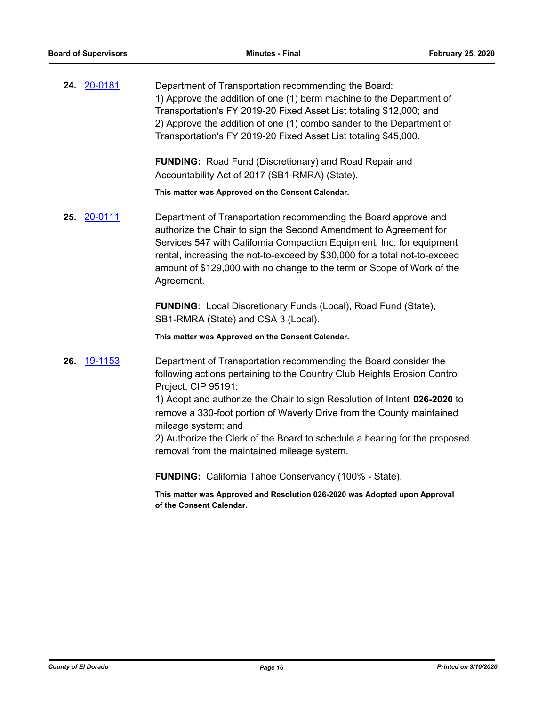**24.** [20-0181](http://eldorado.legistar.com/gateway.aspx?m=l&id=/matter.aspx?key=27386) Department of Transportation recommending the Board: 1) Approve the addition of one (1) berm machine to the Department of Transportation's FY 2019-20 Fixed Asset List totaling \$12,000; and 2) Approve the addition of one (1) combo sander to the Department of Transportation's FY 2019-20 Fixed Asset List totaling \$45,000.

> **FUNDING:** Road Fund (Discretionary) and Road Repair and Accountability Act of 2017 (SB1-RMRA) (State).

**This matter was Approved on the Consent Calendar.**

**25.** [20-0111](http://eldorado.legistar.com/gateway.aspx?m=l&id=/matter.aspx?key=27316) Department of Transportation recommending the Board approve and authorize the Chair to sign the Second Amendment to Agreement for Services 547 with California Compaction Equipment, Inc. for equipment rental, increasing the not-to-exceed by \$30,000 for a total not-to-exceed amount of \$129,000 with no change to the term or Scope of Work of the Agreement.

> **FUNDING:** Local Discretionary Funds (Local), Road Fund (State), SB1-RMRA (State) and CSA 3 (Local).

**This matter was Approved on the Consent Calendar.**

**26.** [19-1153](http://eldorado.legistar.com/gateway.aspx?m=l&id=/matter.aspx?key=26475) Department of Transportation recommending the Board consider the following actions pertaining to the Country Club Heights Erosion Control Project, CIP 95191:

> 1) Adopt and authorize the Chair to sign Resolution of Intent **026-2020** to remove a 330-foot portion of Waverly Drive from the County maintained mileage system; and

2) Authorize the Clerk of the Board to schedule a hearing for the proposed removal from the maintained mileage system.

**FUNDING:** California Tahoe Conservancy (100% - State).

**This matter was Approved and Resolution 026-2020 was Adopted upon Approval of the Consent Calendar.**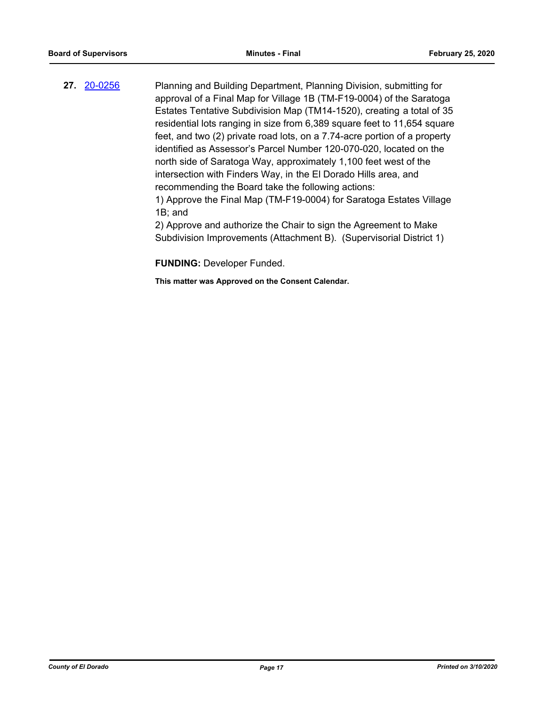**27.** [20-0256](http://eldorado.legistar.com/gateway.aspx?m=l&id=/matter.aspx?key=27461) Planning and Building Department, Planning Division, submitting for approval of a Final Map for Village 1B (TM-F19-0004) of the Saratoga Estates Tentative Subdivision Map (TM14-1520), creating a total of 35 residential lots ranging in size from 6,389 square feet to 11,654 square feet, and two (2) private road lots, on a 7.74-acre portion of a property identified as Assessor's Parcel Number 120-070-020, located on the north side of Saratoga Way, approximately 1,100 feet west of the intersection with Finders Way, in the El Dorado Hills area, and recommending the Board take the following actions: 1) Approve the Final Map (TM-F19-0004) for Saratoga Estates Village

1B; and

2) Approve and authorize the Chair to sign the Agreement to Make Subdivision Improvements (Attachment B). (Supervisorial District 1)

**FUNDING:** Developer Funded.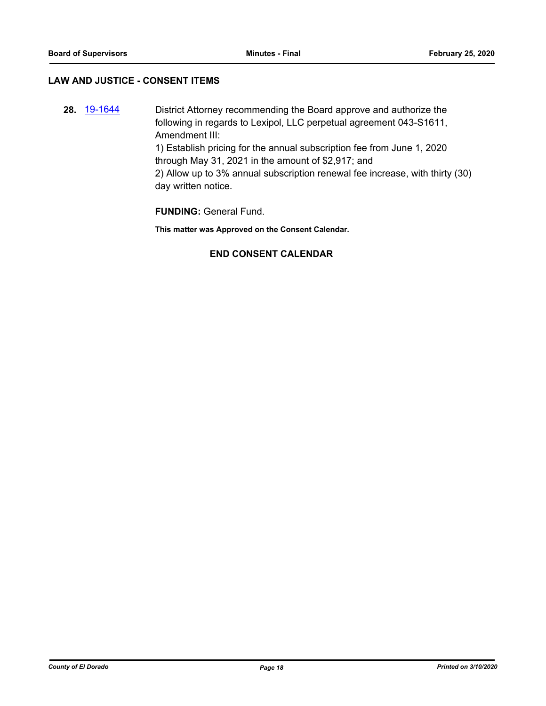#### **LAW AND JUSTICE - CONSENT ITEMS**

**28.** [19-1644](http://eldorado.legistar.com/gateway.aspx?m=l&id=/matter.aspx?key=26968) District Attorney recommending the Board approve and authorize the following in regards to Lexipol, LLC perpetual agreement 043-S1611, Amendment III:

> 1) Establish pricing for the annual subscription fee from June 1, 2020 through May 31, 2021 in the amount of \$2,917; and

2) Allow up to 3% annual subscription renewal fee increase, with thirty (30) day written notice.

**FUNDING:** General Fund.

**This matter was Approved on the Consent Calendar.**

### **END CONSENT CALENDAR**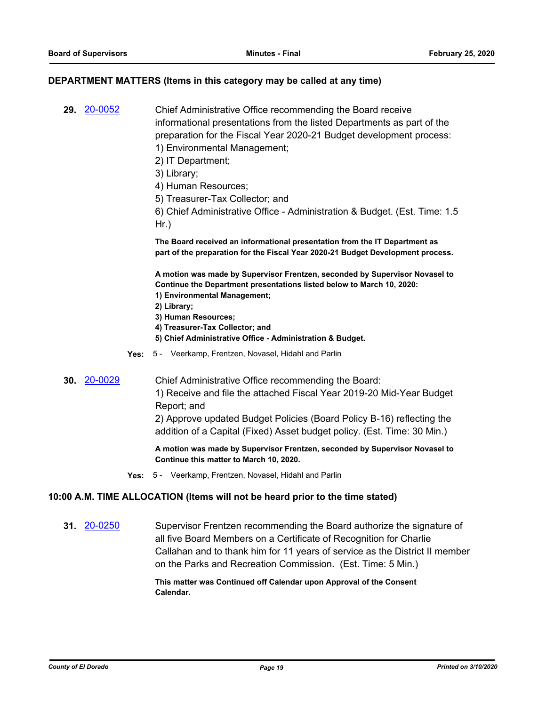#### **DEPARTMENT MATTERS (Items in this category may be called at any time)**

**29.** [20-0052](http://eldorado.legistar.com/gateway.aspx?m=l&id=/matter.aspx?key=27257) Chief Administrative Office recommending the Board receive informational presentations from the listed Departments as part of the preparation for the Fiscal Year 2020-21 Budget development process: 1) Environmental Management; 2) IT Department;

3) Library;

- 4) Human Resources;
- 5) Treasurer-Tax Collector; and
- 6) Chief Administrative Office Administration & Budget. (Est. Time: 1.5 Hr.)

**The Board received an informational presentation from the IT Department as part of the preparation for the Fiscal Year 2020-21 Budget Development process.** 

**A motion was made by Supervisor Frentzen, seconded by Supervisor Novasel to Continue the Department presentations listed below to March 10, 2020:**

- **1) Environmental Management;**
- **2) Library;**
- **3) Human Resources;**
- **4) Treasurer-Tax Collector; and**
- **5) Chief Administrative Office Administration & Budget.**
- **Yes:** 5 Veerkamp, Frentzen, Novasel, Hidahl and Parlin
- **30.** [20-0029](http://eldorado.legistar.com/gateway.aspx?m=l&id=/matter.aspx?key=27233) Chief Administrative Office recommending the Board: 1) Receive and file the attached Fiscal Year 2019-20 Mid-Year Budget Report; and

2) Approve updated Budget Policies (Board Policy B-16) reflecting the addition of a Capital (Fixed) Asset budget policy. (Est. Time: 30 Min.)

**A motion was made by Supervisor Frentzen, seconded by Supervisor Novasel to Continue this matter to March 10, 2020.**

**Yes:** 5 - Veerkamp, Frentzen, Novasel, Hidahl and Parlin

#### **10:00 A.M. TIME ALLOCATION (Items will not be heard prior to the time stated)**

**31.** [20-0250](http://eldorado.legistar.com/gateway.aspx?m=l&id=/matter.aspx?key=27455) Supervisor Frentzen recommending the Board authorize the signature of all five Board Members on a Certificate of Recognition for Charlie Callahan and to thank him for 11 years of service as the District II member on the Parks and Recreation Commission. (Est. Time: 5 Min.)

#### **This matter was Continued off Calendar upon Approval of the Consent Calendar.**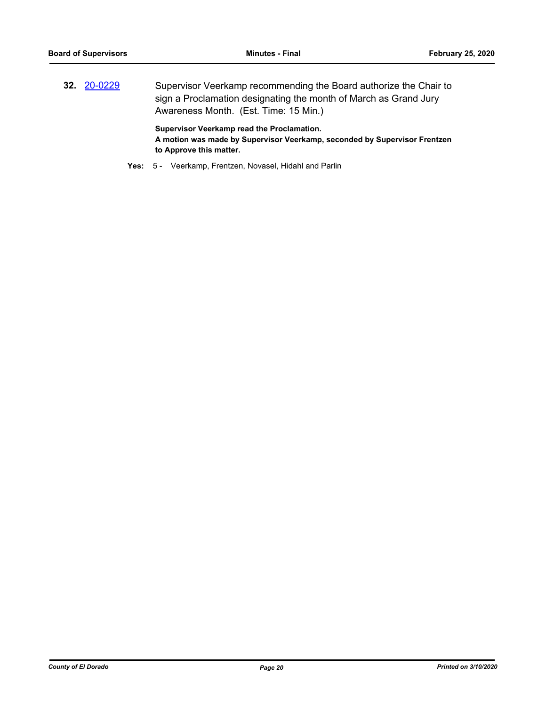**32.** [20-0229](http://eldorado.legistar.com/gateway.aspx?m=l&id=/matter.aspx?key=27434) Supervisor Veerkamp recommending the Board authorize the Chair to sign a Proclamation designating the month of March as Grand Jury Awareness Month. (Est. Time: 15 Min.)

> **Supervisor Veerkamp read the Proclamation. A motion was made by Supervisor Veerkamp, seconded by Supervisor Frentzen to Approve this matter.**

**Yes:** 5 - Veerkamp, Frentzen, Novasel, Hidahl and Parlin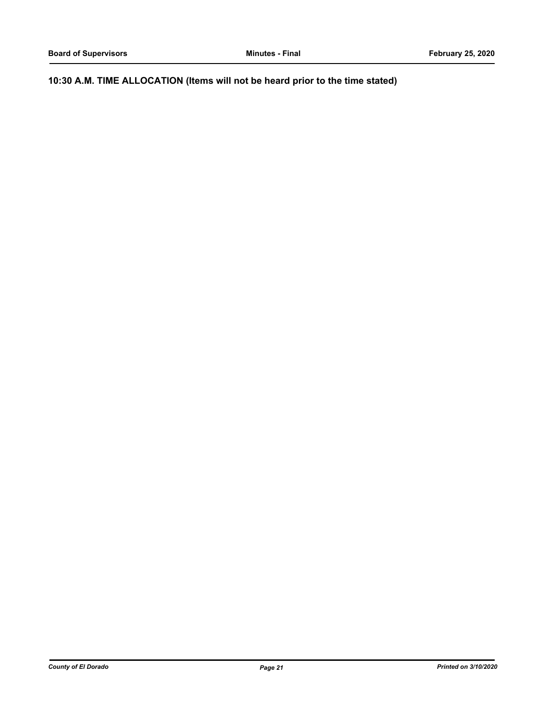**10:30 A.M. TIME ALLOCATION (Items will not be heard prior to the time stated)**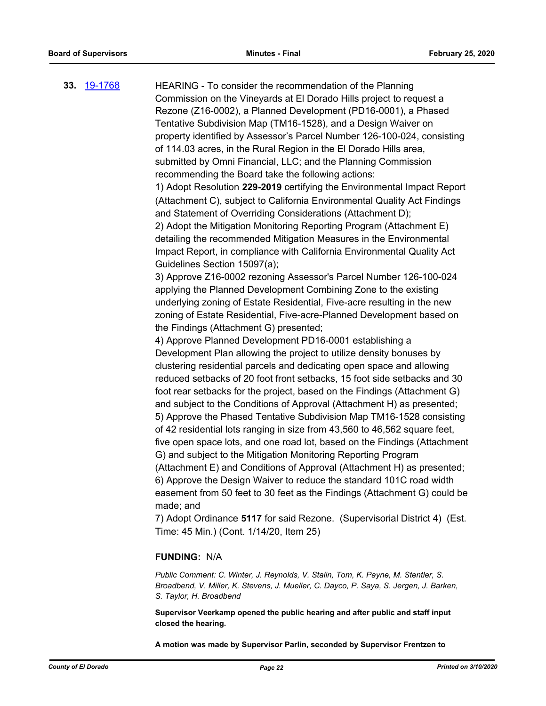**33.** [19-1768](http://eldorado.legistar.com/gateway.aspx?m=l&id=/matter.aspx?key=27092) HEARING - To consider the recommendation of the Planning Commission on the Vineyards at El Dorado Hills project to request a Rezone (Z16-0002), a Planned Development (PD16-0001), a Phased Tentative Subdivision Map (TM16-1528), and a Design Waiver on property identified by Assessor's Parcel Number 126-100-024, consisting of 114.03 acres, in the Rural Region in the El Dorado Hills area, submitted by Omni Financial, LLC; and the Planning Commission recommending the Board take the following actions: 1) Adopt Resolution **229-2019** certifying the Environmental Impact Report (Attachment C), subject to California Environmental Quality Act Findings and Statement of Overriding Considerations (Attachment D); 2) Adopt the Mitigation Monitoring Reporting Program (Attachment E) detailing the recommended Mitigation Measures in the Environmental Impact Report, in compliance with California Environmental Quality Act Guidelines Section 15097(a); 3) Approve Z16-0002 rezoning Assessor's Parcel Number 126-100-024 applying the Planned Development Combining Zone to the existing underlying zoning of Estate Residential, Five-acre resulting in the new zoning of Estate Residential, Five-acre-Planned Development based on the Findings (Attachment G) presented; 4) Approve Planned Development PD16-0001 establishing a Development Plan allowing the project to utilize density bonuses by clustering residential parcels and dedicating open space and allowing reduced setbacks of 20 foot front setbacks, 15 foot side setbacks and 30 foot rear setbacks for the project, based on the Findings (Attachment G) and subject to the Conditions of Approval (Attachment H) as presented; 5) Approve the Phased Tentative Subdivision Map TM16-1528 consisting of 42 residential lots ranging in size from 43,560 to 46,562 square feet, five open space lots, and one road lot, based on the Findings (Attachment G) and subject to the Mitigation Monitoring Reporting Program (Attachment E) and Conditions of Approval (Attachment H) as presented; 6) Approve the Design Waiver to reduce the standard 101C road width easement from 50 feet to 30 feet as the Findings (Attachment G) could be made; and 7) Adopt Ordinance **5117** for said Rezone. (Supervisorial District 4) (Est. Time: 45 Min.) (Cont. 1/14/20, Item 25) **FUNDING:** N/A *Public Comment: C. Winter, J. Reynolds, V. Stalin, Tom, K. Payne, M. Stentler, S.* 

*Broadbend, V. Miller, K. Stevens, J. Mueller, C. Dayco, P. Saya, S. Jergen, J. Barken, S. Taylor, H. Broadbend*

**Supervisor Veerkamp opened the public hearing and after public and staff input closed the hearing.**

**A motion was made by Supervisor Parlin, seconded by Supervisor Frentzen to**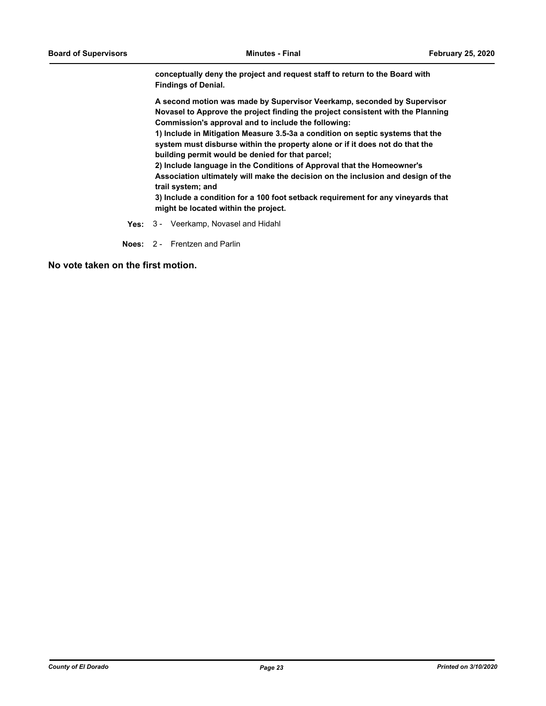**conceptually deny the project and request staff to return to the Board with Findings of Denial.**

**A second motion was made by Supervisor Veerkamp, seconded by Supervisor Novasel to Approve the project finding the project consistent with the Planning Commission's approval and to include the following:**

**1) Include in Mitigation Measure 3.5-3a a condition on septic systems that the system must disburse within the property alone or if it does not do that the building permit would be denied for that parcel;** 

**2) Include language in the Conditions of Approval that the Homeowner's Association ultimately will make the decision on the inclusion and design of the trail system; and**

**3) Include a condition for a 100 foot setback requirement for any vineyards that might be located within the project.**

**Yes:** 3 - Veerkamp, Novasel and Hidahl

**Noes:** 2 - Frentzen and Parlin

**No vote taken on the first motion.**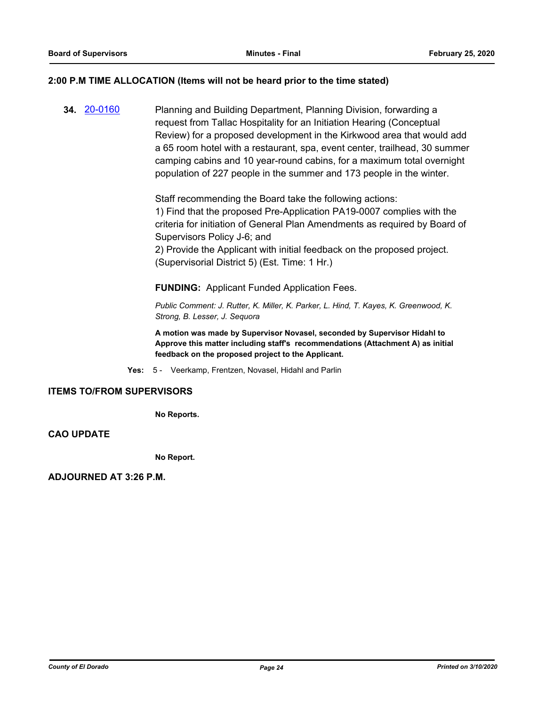#### **2:00 P.M TIME ALLOCATION (Items will not be heard prior to the time stated)**

**34.** [20-0160](http://eldorado.legistar.com/gateway.aspx?m=l&id=/matter.aspx?key=27365) Planning and Building Department, Planning Division, forwarding a request from Tallac Hospitality for an Initiation Hearing (Conceptual Review) for a proposed development in the Kirkwood area that would add a 65 room hotel with a restaurant, spa, event center, trailhead, 30 summer camping cabins and 10 year-round cabins, for a maximum total overnight population of 227 people in the summer and 173 people in the winter.

> Staff recommending the Board take the following actions: 1) Find that the proposed Pre-Application PA19-0007 complies with the criteria for initiation of General Plan Amendments as required by Board of Supervisors Policy J-6; and

2) Provide the Applicant with initial feedback on the proposed project. (Supervisorial District 5) (Est. Time: 1 Hr.)

**FUNDING:** Applicant Funded Application Fees.

*Public Comment: J. Rutter, K. Miller, K. Parker, L. Hind, T. Kayes, K. Greenwood, K. Strong, B. Lesser, J. Sequora*

**A motion was made by Supervisor Novasel, seconded by Supervisor Hidahl to Approve this matter including staff's recommendations (Attachment A) as initial feedback on the proposed project to the Applicant.**

**Yes:** 5 - Veerkamp, Frentzen, Novasel, Hidahl and Parlin

#### **ITEMS TO/FROM SUPERVISORS**

**No Reports.**

**CAO UPDATE**

**No Report.**

**ADJOURNED AT 3:26 P.M.**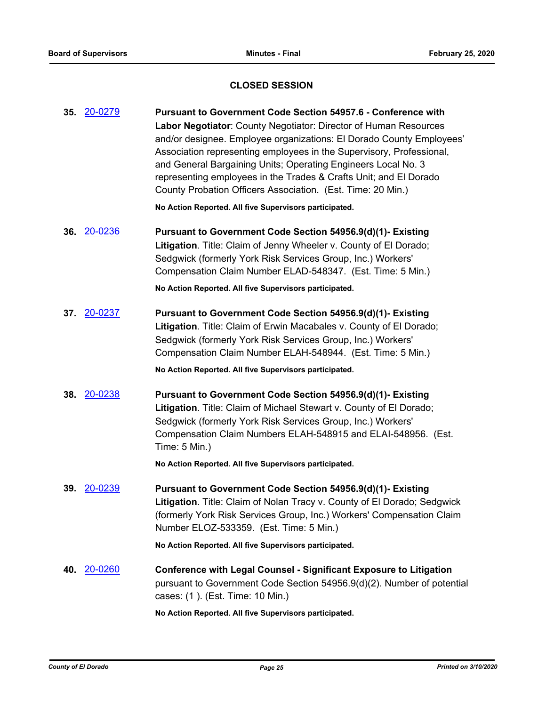## **CLOSED SESSION**

| 35. 20-0279        | <b>Pursuant to Government Code Section 54957.6 - Conference with</b><br>Labor Negotiator: County Negotiator: Director of Human Resources<br>and/or designee. Employee organizations: El Dorado County Employees'<br>Association representing employees in the Supervisory, Professional,<br>and General Bargaining Units; Operating Engineers Local No. 3<br>representing employees in the Trades & Crafts Unit; and El Dorado<br>County Probation Officers Association. (Est. Time: 20 Min.)<br>No Action Reported. All five Supervisors participated. |
|--------------------|---------------------------------------------------------------------------------------------------------------------------------------------------------------------------------------------------------------------------------------------------------------------------------------------------------------------------------------------------------------------------------------------------------------------------------------------------------------------------------------------------------------------------------------------------------|
| 36. 20-0236        | Pursuant to Government Code Section 54956.9(d)(1)- Existing<br>Litigation. Title: Claim of Jenny Wheeler v. County of El Dorado;<br>Sedgwick (formerly York Risk Services Group, Inc.) Workers'<br>Compensation Claim Number ELAD-548347. (Est. Time: 5 Min.)<br>No Action Reported. All five Supervisors participated.                                                                                                                                                                                                                                 |
| 37. 20-0237        | Pursuant to Government Code Section 54956.9(d)(1)- Existing<br>Litigation. Title: Claim of Erwin Macabales v. County of El Dorado;<br>Sedgwick (formerly York Risk Services Group, Inc.) Workers'<br>Compensation Claim Number ELAH-548944. (Est. Time: 5 Min.)<br>No Action Reported. All five Supervisors participated.                                                                                                                                                                                                                               |
| 38. 20-0238        | Pursuant to Government Code Section 54956.9(d)(1)- Existing<br>Litigation. Title: Claim of Michael Stewart v. County of El Dorado;<br>Sedgwick (formerly York Risk Services Group, Inc.) Workers'<br>Compensation Claim Numbers ELAH-548915 and ELAI-548956. (Est.<br>Time: 5 Min.)<br>No Action Reported. All five Supervisors participated.                                                                                                                                                                                                           |
| <b>39.</b> 20-0239 | Pursuant to Government Code Section 54956.9(d)(1)- Existing<br>Litigation. Title: Claim of Nolan Tracy v. County of El Dorado; Sedgwick<br>(formerly York Risk Services Group, Inc.) Workers' Compensation Claim<br>Number ELOZ-533359. (Est. Time: 5 Min.)<br>No Action Reported. All five Supervisors participated.                                                                                                                                                                                                                                   |
| 40. 20-0260        | <b>Conference with Legal Counsel - Significant Exposure to Litigation</b><br>pursuant to Government Code Section 54956.9(d)(2). Number of potential<br>cases: (1). (Est. Time: 10 Min.)                                                                                                                                                                                                                                                                                                                                                                 |
|                    | No Action Reported. All five Supervisors participated.                                                                                                                                                                                                                                                                                                                                                                                                                                                                                                  |